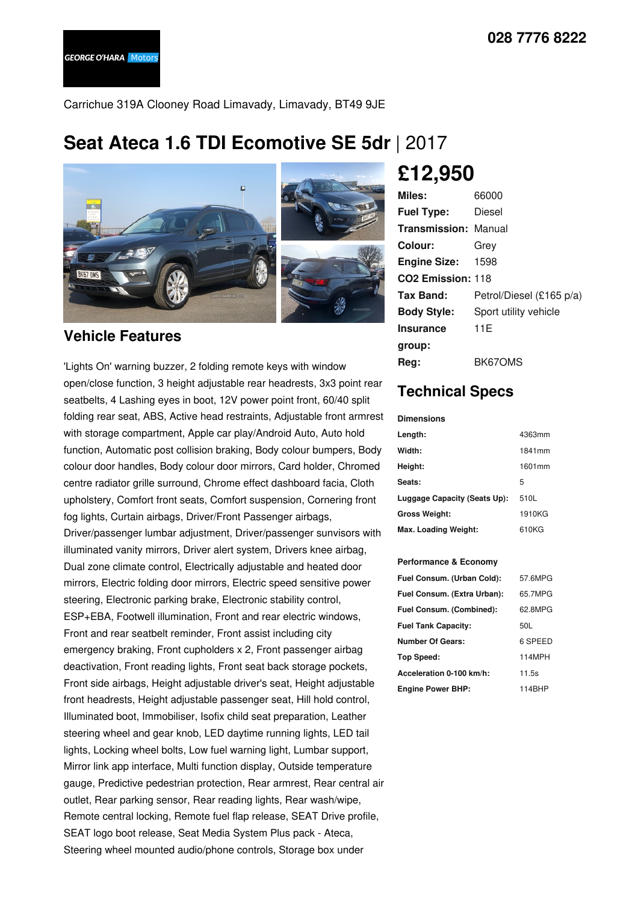Carrichue 319A Clooney Road Limavady, Limavady, BT49 9JE

## **Seat Ateca 1.6 TDI Ecomotive SE 5dr** | 2017



### **Vehicle Features**

'Lights On' warning buzzer, 2 folding remote keys with window open/close function, 3 height adjustable rear headrests, 3x3 point rear seatbelts, 4 Lashing eyes in boot, 12V power point front, 60/40 split folding rear seat, ABS, Active head restraints, Adjustable front armrest with storage compartment, Apple car play/Android Auto, Auto hold function, Automatic post collision braking, Body colour bumpers, Body colour door handles, Body colour door mirrors, Card holder, Chromed centre radiator grille surround, Chrome effect dashboard facia, Cloth upholstery, Comfort front seats, Comfort suspension, Cornering front fog lights, Curtain airbags, Driver/Front Passenger airbags, Driver/passenger lumbar adjustment, Driver/passenger sunvisors with illuminated vanity mirrors, Driver alert system, Drivers knee airbag, Dual zone climate control, Electrically adjustable and heated door mirrors, Electric folding door mirrors, Electric speed sensitive power steering, Electronic parking brake, Electronic stability control, ESP+EBA, Footwell illumination, Front and rear electric windows, Front and rear seatbelt reminder, Front assist including city emergency braking, Front cupholders x 2, Front passenger airbag deactivation, Front reading lights, Front seat back storage pockets, Front side airbags, Height adjustable driver's seat, Height adjustable front headrests, Height adjustable passenger seat, Hill hold control, Illuminated boot, Immobiliser, Isofix child seat preparation, Leather steering wheel and gear knob, LED daytime running lights, LED tail lights, Locking wheel bolts, Low fuel warning light, Lumbar support, Mirror link app interface, Multi function display, Outside temperature gauge, Predictive pedestrian protection, Rear armrest, Rear central air outlet, Rear parking sensor, Rear reading lights, Rear wash/wipe, Remote central locking, Remote fuel flap release, SEAT Drive profile, SEAT logo boot release, Seat Media System Plus pack - Ateca, Steering wheel mounted audio/phone controls, Storage box under

# **£12,950**

| Miles:                        | 66000                    |
|-------------------------------|--------------------------|
| <b>Fuel Type:</b>             | Diesel                   |
| <b>Transmission: Manual</b>   |                          |
| Colour:                       | Grev                     |
| <b>Engine Size:</b>           | 1598                     |
| CO <sub>2</sub> Emission: 118 |                          |
| Tax Band:                     | Petrol/Diesel (£165 p/a) |
| <b>Body Style:</b>            | Sport utility vehicle    |
| <b>Insurance</b>              | 11E                      |
| group:                        |                          |
| Reg:                          | BK67OMS                  |

## **Technical Specs**

**Dimensions**

| Length:                      | 4363mm |
|------------------------------|--------|
| Width:                       | 1841mm |
| Height:                      | 1601mm |
| Seats:                       | 5      |
| Luggage Capacity (Seats Up): | 510L   |
| <b>Gross Weight:</b>         | 1910KG |
| Max. Loading Weight:         | 610KG  |

#### **Performance & Economy**

| Fuel Consum. (Urban Cold):  | 57.6MPG |
|-----------------------------|---------|
| Fuel Consum. (Extra Urban): | 65.7MPG |
| Fuel Consum. (Combined):    | 62.8MPG |
| <b>Fuel Tank Capacity:</b>  | 50L     |
| <b>Number Of Gears:</b>     | 6 SPEED |
| Top Speed:                  | 114MPH  |
| Acceleration 0-100 km/h:    | 11.5s   |
| <b>Engine Power BHP:</b>    | 114BHP  |